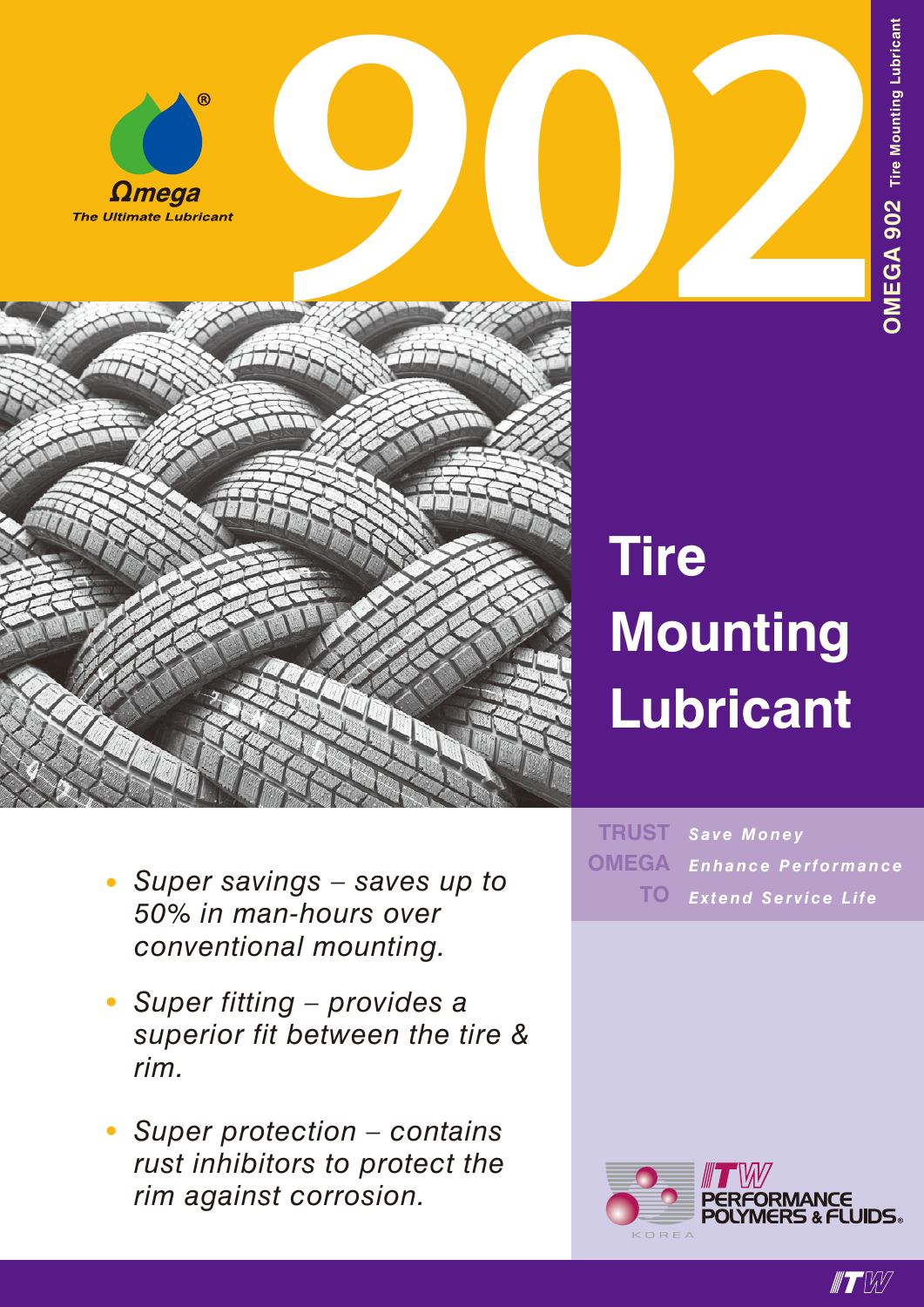



## **Tire Mounting Lubricant**

- *• Super savings – saves up to 50% in man-hours over conventional mounting.*
- *• Super fitting – provides a superior fit between the tire & rim.*
- *• Super protection contains rust inhibitors to protect the rim against corrosion.*

 $TRUST$  Save Money *Enhance Performance Extend Service Life* **OMEGA TO**



 $\blacksquare$